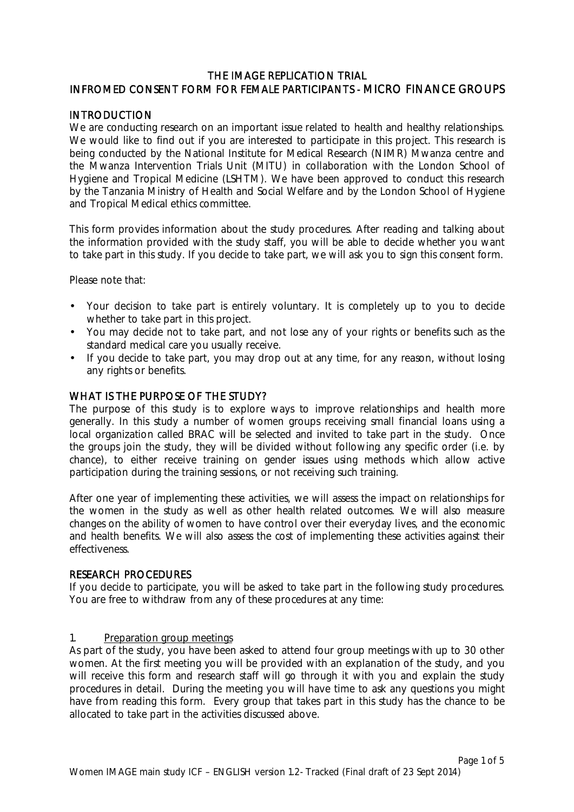# THE IMAGE REPLICATION TRIAL INFROMED CONSENT FORM FOR FEMALE PARTICIPANTS - MICRO FINANCE GROUPS

## **INTRODUCTION**

We are conducting research on an important issue related to health and healthy relationships. We would like to find out if you are interested to participate in this project. This research is being conducted by the National Institute for Medical Research (NIMR) Mwanza centre and the Mwanza Intervention Trials Unit (MITU) in collaboration with the London School of Hygiene and Tropical Medicine (LSHTM). We have been approved to conduct this research by the Tanzania Ministry of Health and Social Welfare and by the London School of Hygiene and Tropical Medical ethics committee.

This form provides information about the study procedures. After reading and talking about the information provided with the study staff, you will be able to decide whether you want to take part in this study. If you decide to take part, we will ask you to sign this consent form.

Please note that:

- Your decision to take part is entirely voluntary. It is completely up to you to decide whether to take part in this project.
- You may decide not to take part, and not lose any of your rights or benefits such as the standard medical care you usually receive.
- If you decide to take part, you may drop out at any time, for any reason, without losing any rights or benefits.

## WHAT IS THE PURPOSE OF THE STUDY?

The purpose of this study is to explore ways to improve relationships and health more generally. In this study a number of women groups receiving small financial loans using a local organization called BRAC will be selected and invited to take part in the study. Once the groups join the study, they will be divided without following any specific order (i.e. by chance), to either receive training on gender issues using methods which allow active participation during the training sessions, or not receiving such training.

After one year of implementing these activities, we will assess the impact on relationships for the women in the study as well as other health related outcomes. We will also measure changes on the ability of women to have control over their everyday lives, and the economic and health benefits. We will also assess the cost of implementing these activities against their effectiveness.

### RESEARCH PROCEDURES

If you decide to participate, you will be asked to take part in the following study procedures. You are free to withdraw from any of these procedures at any time:

### 1. Preparation group meetings

As part of the study, you have been asked to attend four group meetings with up to 30 other women. At the first meeting you will be provided with an explanation of the study, and you will receive this form and research staff will go through it with you and explain the study procedures in detail. During the meeting you will have time to ask any questions you might have from reading this form. Every group that takes part in this study has the chance to be allocated to take part in the activities discussed above.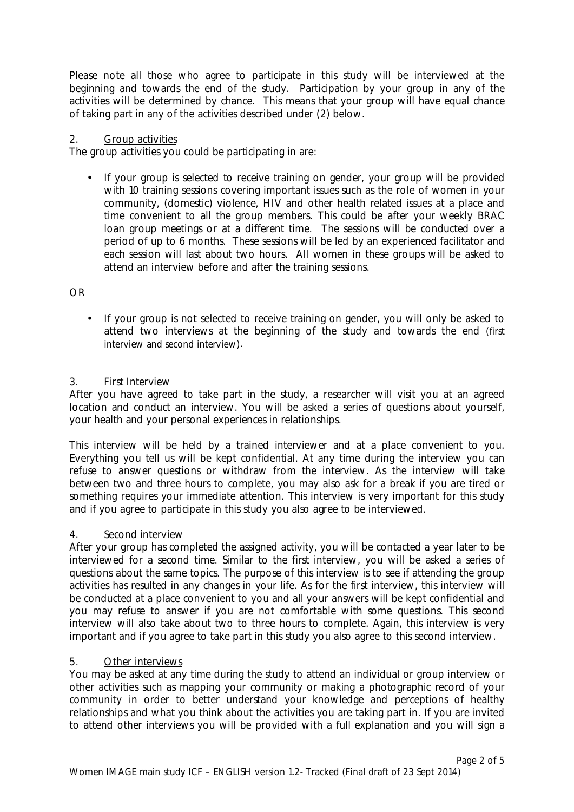Please note all those who agree to participate in this study will be interviewed at the beginning and towards the end of the study. Participation by your group in any of the activities will be determined by chance. This means that your group will have equal chance of taking part in any of the activities described under (2) below.

## 2. Group activities

The group activities you could be participating in are:

• If your group is selected to receive training on gender, your group will be provided with 10 training sessions covering important issues such as the role of women in your community, (domestic) violence, HIV and other health related issues at a place and time convenient to all the group members. This could be after your weekly BRAC loan group meetings or at a different time. The sessions will be conducted over a period of up to 6 months. These sessions will be led by an experienced facilitator and each session will last about two hours. All women in these groups will be asked to attend an interview before and after the training sessions.

OR

• If your group is not selected to receive training on gender, you will only be asked to attend two interviews at the beginning of the study and towards the end (first interview and second interview).

## 3. First Interview

After you have agreed to take part in the study, a researcher will visit you at an agreed location and conduct an interview. You will be asked a series of questions about yourself, your health and your personal experiences in relationships.

This interview will be held by a trained interviewer and at a place convenient to you. Everything you tell us will be kept confidential. At any time during the interview you can refuse to answer questions or withdraw from the interview. As the interview will take between two and three hours to complete, you may also ask for a break if you are tired or something requires your immediate attention. This interview is very important for this study and if you agree to participate in this study you also agree to be interviewed.

### 4. Second interview

After your group has completed the assigned activity, you will be contacted a year later to be interviewed for a second time. Similar to the first interview, you will be asked a series of questions about the same topics. The purpose of this interview is to see if attending the group activities has resulted in any changes in your life. As for the first interview, this interview will be conducted at a place convenient to you and all your answers will be kept confidential and you may refuse to answer if you are not comfortable with some questions. This second interview will also take about two to three hours to complete. Again, this interview is very important and if you agree to take part in this study you also agree to this second interview.

### 5. Other interviews

You may be asked at any time during the study to attend an individual or group interview or other activities such as mapping your community or making a photographic record of your community in order to better understand your knowledge and perceptions of healthy relationships and what you think about the activities you are taking part in. If you are invited to attend other interviews you will be provided with a full explanation and you will sign a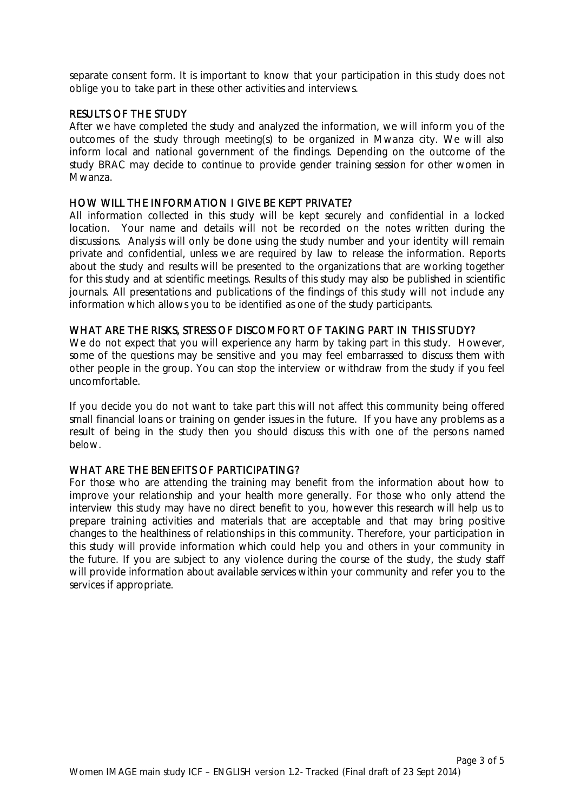separate consent form. It is important to know that your participation in this study does not oblige you to take part in these other activities and interviews.

### RESULTS OF THE STUDY

After we have completed the study and analyzed the information, we will inform you of the outcomes of the study through meeting(s) to be organized in Mwanza city. We will also inform local and national government of the findings. Depending on the outcome of the study BRAC may decide to continue to provide gender training session for other women in Mwanza.

#### HOW WILL THE INFORMATION I GIVE BE KEPT PRIVATE?

All information collected in this study will be kept securely and confidential in a locked location. Your name and details will not be recorded on the notes written during the discussions. Analysis will only be done using the study number and your identity will remain private and confidential, unless we are required by law to release the information. Reports about the study and results will be presented to the organizations that are working together for this study and at scientific meetings. Results of this study may also be published in scientific journals. All presentations and publications of the findings of this study will not include any information which allows you to be identified as one of the study participants.

#### WHAT ARE THE RISKS, STRESS OF DISCOMFORT OF TAKING PART IN THIS STUDY?

We do not expect that you will experience any harm by taking part in this study. However, some of the questions may be sensitive and you may feel embarrassed to discuss them with other people in the group. You can stop the interview or withdraw from the study if you feel uncomfortable.

If you decide you do not want to take part this will not affect this community being offered small financial loans or training on gender issues in the future. If you have any problems as a result of being in the study then you should discuss this with one of the persons named below.

## WHAT ARE THE BENEFITS OF PARTICIPATING?

For those who are attending the training may benefit from the information about how to improve your relationship and your health more generally. For those who only attend the interview this study may have no direct benefit to you, however this research will help us to prepare training activities and materials that are acceptable and that may bring positive changes to the healthiness of relationships in this community. Therefore, your participation in this study will provide information which could help you and others in your community in the future. If you are subject to any violence during the course of the study, the study staff will provide information about available services within your community and refer you to the services if appropriate.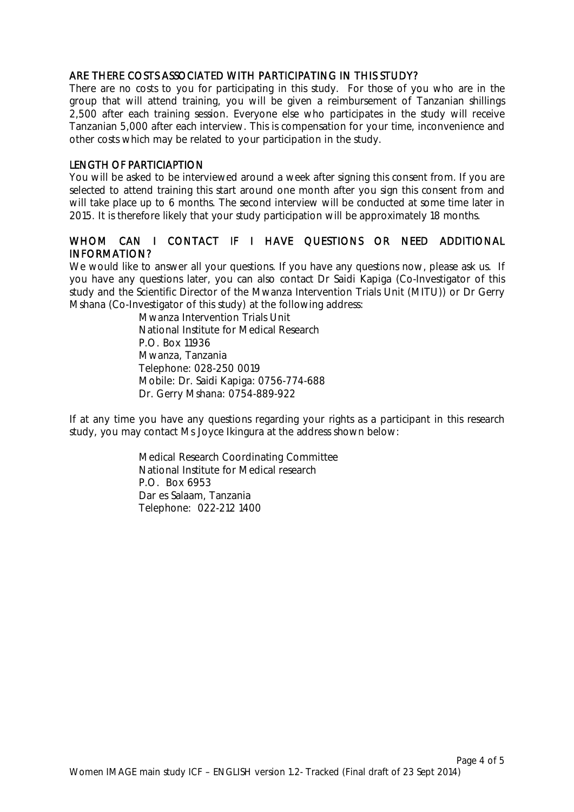### ARE THERE COSTS ASSOCIATED WITH PARTICIPATING IN THIS STUDY?

There are no costs to you for participating in this study. For those of you who are in the group that will attend training, you will be given a reimbursement of Tanzanian shillings 2,500 after each training session. Everyone else who participates in the study will receive Tanzanian 5,000 after each interview. This is compensation for your time, inconvenience and other costs which may be related to your participation in the study.

## LENGTH OF PARTICIAPTION

You will be asked to be interviewed around a week after signing this consent from. If you are selected to attend training this start around one month after you sign this consent from and will take place up to 6 months. The second interview will be conducted at some time later in 2015. It is therefore likely that your study participation will be approximately 18 months.

# WHOM CAN I CONTACT IF I HAVE QUESTIONS OR NEED ADDITIONAL INFORMATION?

We would like to answer all your questions. If you have any questions now, please ask us. If you have any questions later, you can also contact Dr Saidi Kapiga (Co-Investigator of this study and the Scientific Director of the Mwanza Intervention Trials Unit (MITU)) or Dr Gerry Mshana (Co-Investigator of this study) at the following address:

> Mwanza Intervention Trials Unit National Institute for Medical Research P.O. Box 11936 Mwanza, Tanzania Telephone: 028-250 0019 Mobile: Dr. Saidi Kapiga: 0756-774-688 Dr. Gerry Mshana: 0754-889-922

If at any time you have any questions regarding your rights as a participant in this research study, you may contact Ms Joyce Ikingura at the address shown below:

> Medical Research Coordinating Committee National Institute for Medical research P.O. Box 6953 Dar es Salaam, Tanzania Telephone: 022-212 1400